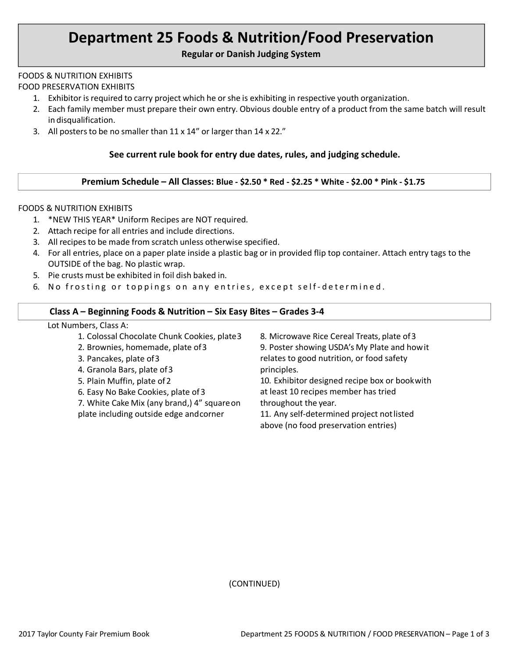# **Department 25 Foods & Nutrition/Food Preservation**

#### **Regular or Danish Judging System**

#### FOODS & NUTRITION EXHIBITS

FOOD PRESERVATION EXHIBITS

- 1. Exhibitor is required to carry project which he orshe is exhibiting in respective youth organization.
- 2. Each family member must prepare their own entry. Obvious double entry of a product from the same batch will result in disqualification.
- 3. All posters to be no smaller than  $11 \times 14$ " or larger than  $14 \times 22$ ."

### **See current rule book for entry due dates, rules, and judging schedule.**

#### **Premium Schedule – All Classes: Blue - \$2.50 \* Red - \$2.25 \* White - \$2.00 \* Pink - \$1.75**

#### FOODS & NUTRITION EXHIBITS

- 1. \*NEW THIS YEAR\* Uniform Recipes are NOT required.
- 2. Attach recipe for all entries and include directions.
- 3. All recipes to be made from scratch unless otherwise specified.
- 4. For all entries, place on a paper plate inside a plastic bag or in provided flip top container. Attach entry tags to the OUTSIDE of the bag. No plastic wrap.
- 5. Pie crusts must be exhibited in foil dish baked in.
- 6. No frosting or toppings on any entries, except self-determined.

#### **Class A – Beginning Foods & Nutrition – Six Easy Bites – Grades 3-4**

#### Lot Numbers, Class A:

| 1. Colossal Chocolate Chunk Cookies, plate3 | 8. Microwave Rice Cereal Treats, plate of 3   |
|---------------------------------------------|-----------------------------------------------|
| 2. Brownies, homemade, plate of 3           | 9. Poster showing USDA's My Plate and how it  |
| 3. Pancakes, plate of 3                     | relates to good nutrition, or food safety     |
| 4. Granola Bars, plate of 3                 | principles.                                   |
| 5. Plain Muffin, plate of 2                 | 10. Exhibitor designed recipe box or bookwith |
| 6. Easy No Bake Cookies, plate of 3         | at least 10 recipes member has tried          |
| 7. White Cake Mix (any brand,) 4" square on | throughout the year.                          |
| plate including outside edge and corner     | 11. Any self-determined project not listed    |
|                                             | above (no food preservation entries)          |

(CONTINUED)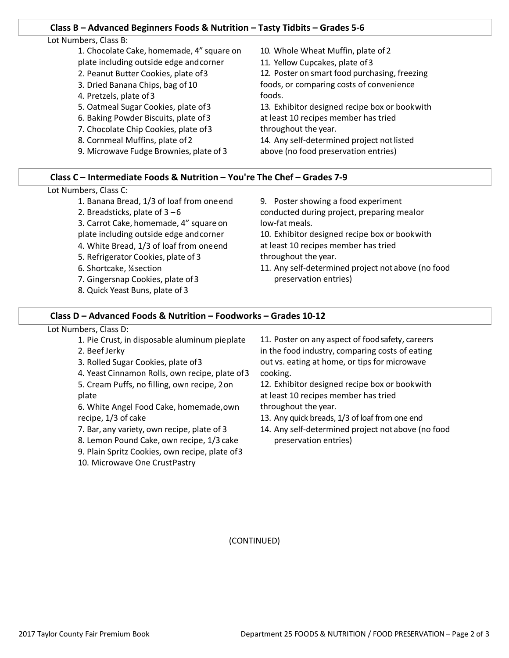#### **Class B – Advanced Beginners Foods & Nutrition – Tasty Tidbits – Grades 5-6**

#### Lot Numbers, Class B:

- 1. Chocolate Cake, homemade, 4" square on plate including outside edge andcorner
- 2. Peanut Butter Cookies, plate of3
- 3. Dried Banana Chips, bag of 10
- 4. Pretzels, plate of3
- 5. Oatmeal Sugar Cookies, plate of3
- 6. Baking Powder Biscuits, plate of3
- 7. Chocolate Chip Cookies, plate of3
- 8. Cornmeal Muffins, plate of2
- 9. Microwave Fudge Brownies, plate of 3

10. Whole Wheat Muffin, plate of 2

11. Yellow Cupcakes, plate of3

12. Poster on smart food purchasing, freezing foods, or comparing costs of convenience foods.

13. Exhibitor designed recipe box or bookwith at least 10 recipes member has tried throughout the year.

14. Any self-determined project not listed above (no food preservation entries)

#### **Class C – Intermediate Foods & Nutrition – You're The Chef – Grades 7-9**

#### Lot Numbers, Class C:

- 1. Banana Bread, 1/3 of loaf from oneend
- 2. Breadsticks, plate of  $3 6$
- 3. Carrot Cake, homemade, 4" square on plate including outside edge andcorner
- 4. White Bread, 1/3 of loaf from oneend
- 5. Refrigerator Cookies, plate of 3
- 6. Shortcake, ¼section
- 7. Gingersnap Cookies, plate of3
- 8. Quick Yeast Buns, plate of 3

9. Poster showing a food experiment conducted during project, preparing mealor low-fatmeals.

10. Exhibitor designed recipe box or bookwith at least 10 recipes member has tried throughout the year.

11. Any self-determined project notabove (no food preservation entries)

#### **Class D – Advanced Foods & Nutrition – Foodworks – Grades 10-12**

## Lot Numbers, Class D:

1. Pie Crust, in disposable aluminum pieplate 2. Beef Jerky 3. Rolled Sugar Cookies, plate of3 4. Yeast Cinnamon Rolls, own recipe, plate of3 5. Cream Puffs, no filling, own recipe, 2on plate 6. White Angel Food Cake, homemade,own recipe, 1/3 of cake 7. Bar, any variety, own recipe, plate of 3 8. Lemon Pound Cake, own recipe, 1/3 cake 11. Poster on any aspect of foodsafety, careers in the food industry, comparing costs of eating out vs. eating at home, or tips for microwave cooking. 12. Exhibitor designed recipe box or bookwith at least 10 recipes member has tried throughout the year. 13. Any quick breads, 1/3 of loaf from one end 14. Any self-determined project notabove (no food preservation entries)

9. Plain Spritz Cookies, own recipe, plate of3 10. Microwave One CrustPastry

(CONTINUED)